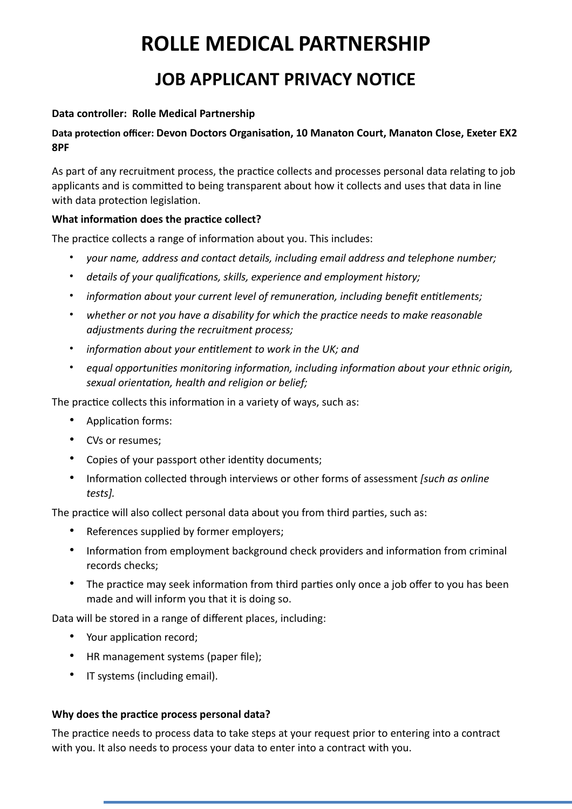# **ROLLE MEDICAL PARTNERSHIP JOB APPLICANT PRIVACY NOTICE**

### **Data controller: Rolle Medical Partnership**

### Data protection officer: Devon Doctors Organisation, 10 Manaton Court, Manaton Close, Exeter EX2 **8PF**

As part of any recruitment process, the practice collects and processes personal data relating to job applicants and is committed to being transparent about how it collects and uses that data in line with data protection legislation.

#### What information does the practice collect?

The practice collects a range of information about you. This includes:

- *your name, address and contact details, including email address and telephone number;*
- details of your qualifications, skills, experience and employment history;
- *information about your current level of remuneration, including benefit entitlements;*
- *whether or not you have a disability for which the practice needs to make reasonable adjustments during the recruitment process;*
- *information about your entitlement to work in the UK; and*
- equal opportunities monitoring information, including information about your ethnic origin, sexual orientation, health and religion or belief;

The practice collects this information in a variety of ways, such as:

- Application forms:
- CVs or resumes;
- Copies of your passport other identity documents:
- Information collected through interviews or other forms of assessment *[such as online tests].*

The practice will also collect personal data about you from third parties, such as:

- References supplied by former employers;
- Information from employment background check providers and information from criminal records checks;
- The practice may seek information from third parties only once a job offer to you has been made and will inform you that it is doing so.

Data will be stored in a range of different places, including:

- Your application record;
- HR management systems (paper file);
- IT systems (including email).

#### Why does the practice process personal data?

The practice needs to process data to take steps at your request prior to entering into a contract with you. It also needs to process your data to enter into a contract with you.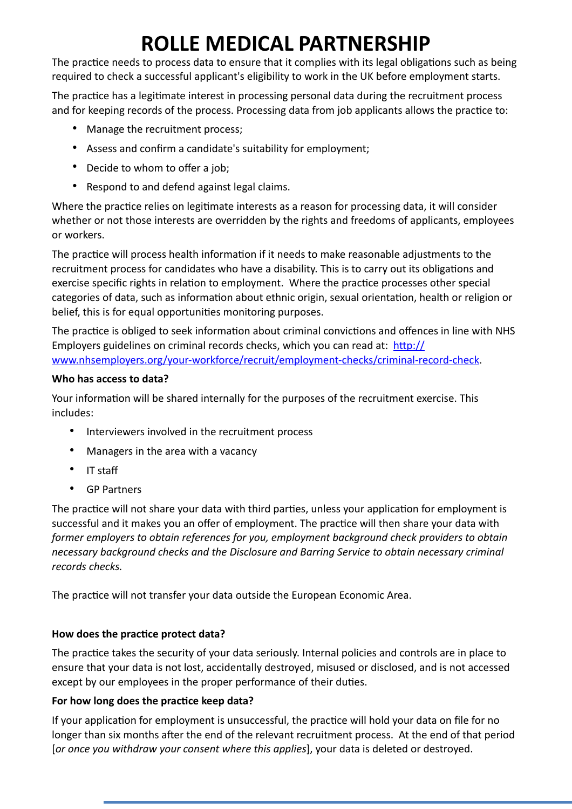# **ROLLE MEDICAL PARTNERSHIP**

The practice needs to process data to ensure that it complies with its legal obligations such as being required to check a successful applicant's eligibility to work in the UK before employment starts.

The practice has a legitimate interest in processing personal data during the recruitment process and for keeping records of the process. Processing data from job applicants allows the practice to:

- Manage the recruitment process;
- Assess and confirm a candidate's suitability for employment;
- Decide to whom to offer a job;
- Respond to and defend against legal claims.

Where the practice relies on legitimate interests as a reason for processing data, it will consider whether or not those interests are overridden by the rights and freedoms of applicants, employees or workers.

The practice will process health information if it needs to make reasonable adjustments to the recruitment process for candidates who have a disability. This is to carry out its obligations and exercise specific rights in relation to employment. Where the practice processes other special categories of data, such as information about ethnic origin, sexual orientation, health or religion or belief, this is for equal opportunities monitoring purposes.

The practice is obliged to seek information about criminal convictions and offences in line with NHS Employers guidelines on criminal records checks, which you can read at:  $\frac{http://}{http://}$ [www.nhsemployers.org/your-workforce/recruit/employment-checks/criminal-record-check.](http://www.nhsemployers.org/your-workforce/recruit/employment-checks/criminal-record-check)

## **Who has access to data?**

Your information will be shared internally for the purposes of the recruitment exercise. This includes:

- Interviewers involved in the recruitment process
- Managers in the area with a vacancy
- IT staff
- GP Partners

The practice will not share your data with third parties, unless your application for employment is successful and it makes you an offer of employment. The practice will then share your data with *former employers to obtain references for you, employment background check providers to obtain necessary background checks and the Disclosure and Barring Service to obtain necessary criminal records checks.*

The practice will not transfer your data outside the European Economic Area.

# How does the practice protect data?

The practice takes the security of your data seriously. Internal policies and controls are in place to ensure that your data is not lost, accidentally destroyed, misused or disclosed, and is not accessed except by our employees in the proper performance of their duties.

# For how long does the practice keep data?

If your application for employment is unsuccessful, the practice will hold your data on file for no longer than six months after the end of the relevant recruitment process. At the end of that period [*or once you withdraw your consent where this applies*], your data is deleted or destroyed.